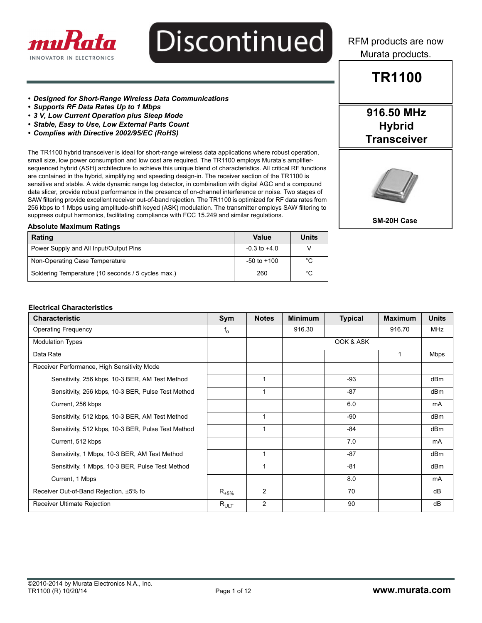

RFM products are now Murata products.

### **TR1100**

**916.50 MHz Hybrid Transceiver**

#### *• Designed for Short-Range Wireless Data Communications*

- *Supports RF Data Rates Up to 1 Mbps*
- *3 V, Low Current Operation plus Sleep Mode*
- *Stable, Easy to Use, Low External Parts Count*
- *Complies with Directive 2002/95/EC (RoHS)*

The TR1100 hybrid transceiver is ideal for short-range wireless data applications where robust operation, small size, low power consumption and low cost are required. The TR1100 employs Murata's amplifiersequenced hybrid (ASH) architecture to achieve this unique blend of characteristics. All critical RF functions are contained in the hybrid, simplifying and speeding design-in. The receiver section of the TR1100 is sensitive and stable. A wide dynamic range log detector, in combination with digital AGC and a compound data slicer, provide robust performance in the presence of on-channel interference or noise. Two stages of SAW filtering provide excellent receiver out-of-band rejection. The TR1100 is optimized for RF data rates from 256 kbps to 1 Mbps using amplitude-shift keyed (ASK) modulation. The transmitter employs SAW filtering to suppress output harmonics, facilitating compliance with FCC 15.249 and similar regulations.



**SM-20H Case** 

#### **Absolute Maximum Ratings**

| Rating                                             | Value            | Units |
|----------------------------------------------------|------------------|-------|
| Power Supply and All Input/Output Pins             | $-0.3$ to $+4.0$ |       |
| Non-Operating Case Temperature                     | $-50$ to $+100$  | °C    |
| Soldering Temperature (10 seconds / 5 cycles max.) | 260              | °C    |

#### **Electrical Characteristics**

| <b>Characteristic</b>                              | Sym                    | <b>Notes</b>   | <b>Minimum</b> | <b>Typical</b> | <b>Maximum</b> | <b>Units</b> |
|----------------------------------------------------|------------------------|----------------|----------------|----------------|----------------|--------------|
| <b>Operating Frequency</b>                         | $f_{o}$                |                | 916.30         |                | 916.70         | <b>MHz</b>   |
| <b>Modulation Types</b>                            |                        |                |                | OOK & ASK      |                |              |
| Data Rate                                          |                        |                |                |                |                | Mbps         |
| Receiver Performance, High Sensitivity Mode        |                        |                |                |                |                |              |
| Sensitivity, 256 kbps, 10-3 BER, AM Test Method    |                        | 1              |                | -93            |                | dBm          |
| Sensitivity, 256 kbps, 10-3 BER, Pulse Test Method |                        | 1              |                | -87            |                | dBm          |
| Current, 256 kbps                                  |                        |                |                | 6.0            |                | mA           |
| Sensitivity, 512 kbps, 10-3 BER, AM Test Method    |                        | $\mathbf{1}$   |                | -90            |                | dBm          |
| Sensitivity, 512 kbps, 10-3 BER, Pulse Test Method |                        |                |                | -84            |                | dBm          |
| Current, 512 kbps                                  |                        |                |                | 7.0            |                | mA           |
| Sensitivity, 1 Mbps, 10-3 BER, AM Test Method      |                        | $\mathbf 1$    |                | $-87$          |                | dBm          |
| Sensitivity, 1 Mbps, 10-3 BER, Pulse Test Method   |                        | 1              |                | $-81$          |                | dBm          |
| Current, 1 Mbps                                    |                        |                |                | 8.0            |                | mA           |
| Receiver Out-of-Band Rejection, ±5% fo             | $\mathsf{R}_{\pm 5\%}$ | $\overline{2}$ |                | 70             |                | dB           |
| <b>Receiver Ultimate Rejection</b>                 | $R_{ULT}$              | $\overline{2}$ |                | 90             |                | dB           |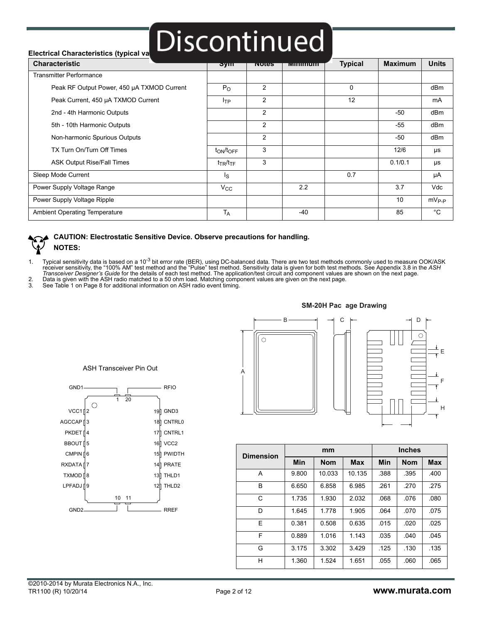### **Electrical Characteristics (typical va Discontinued**

| <b>Characteristic</b>                      | তym              | <b>INOTES</b> | <b>TVIININNUM</b> | <b>Typical</b> | <b>Maximum</b> | <b>Units</b> |
|--------------------------------------------|------------------|---------------|-------------------|----------------|----------------|--------------|
| <b>Transmitter Performance</b>             |                  |               |                   |                |                |              |
| Peak RF Output Power, 450 µA TXMOD Current | $P_{O}$          | 2             |                   | $\Omega$       |                | dBm          |
| Peak Current, 450 µA TXMOD Current         | $I_{TP}$         | 2             |                   | 12             |                | mA           |
| 2nd - 4th Harmonic Outputs                 |                  | 2             |                   |                | -50            | dBm          |
| 5th - 10th Harmonic Outputs                |                  | 2             |                   |                | -55            | dBm          |
| Non-harmonic Spurious Outputs              |                  | 2             |                   |                | $-50$          | dBm          |
| TX Turn On/Turn Off Times                  | $t_{ON}/t_{OFF}$ | 3             |                   |                | 12/6           | μs           |
| <b>ASK Output Rise/Fall Times</b>          | $t_{TR}/t_{TF}$  | 3             |                   |                | 0.1/0.1        | μs           |
| Sleep Mode Current                         | I <sub>S</sub>   |               |                   | 0.7            |                | μA           |
| Power Supply Voltage Range                 | $V_{\rm CC}$     |               | 2.2               |                | 3.7            | Vdc          |
| Power Supply Voltage Ripple                |                  |               |                   |                | 10             | $mV_{P-P}$   |
| Ambient Operating Temperature              | $T_A$            |               | -40               |                | 85             | $^{\circ}$ C |

#### **CAUTION: Electrostatic Sensitive Device. Observe precautions for handling. NOTES:**

1. Typical sensitivity data is based on a 10<sup>-3</sup> bit error rate (BER), using DC-balanced data. There are two test methods commonly used to measure OOK/ASK<br>receiver sensitivity, the "100% AM" test method and the "Pulse" tes *Transceiver Designer's Guide* for the details of each test method. The application/test circuit and component values are shown on the next page. 2. Data is given with the ASH radio matched to a 50 ohm load. Matching component values are given on the next page.

See Table 1 on Page 8 for additional information on ASH radio event timing.



ASH Transceiver Pin Out

#### **-M-20H Pac age Drawin**



| <b>Dimension</b> |       | mm         |            | <b>Inches</b> |            |            |  |
|------------------|-------|------------|------------|---------------|------------|------------|--|
|                  | Min   | <b>Nom</b> | <b>Max</b> | Min           | <b>Nom</b> | <b>Max</b> |  |
| A                | 9.800 | 10.033     | 10.135     | .388          | .395       | .400       |  |
| B                | 6.650 | 6.858      | 6.985      | .261          | .270       | .275       |  |
| C                | 1.735 | 1.930      | 2.032      | .068          | .076       | .080       |  |
| D                | 1.645 | 1.778      | 1.905      | .064          | .070       | .075       |  |
| E                | 0.381 | 0.508      | 0.635      | .015          | .020       | .025       |  |
| F                | 0.889 | 1.016      | 1.143      | .035          | .040       | .045       |  |
| G                | 3.175 | 3.302      | 3.429      | .125          | .130       | .135       |  |
| н                | 1.360 | 1.524      | 1.651      | .055          | .060       | .065       |  |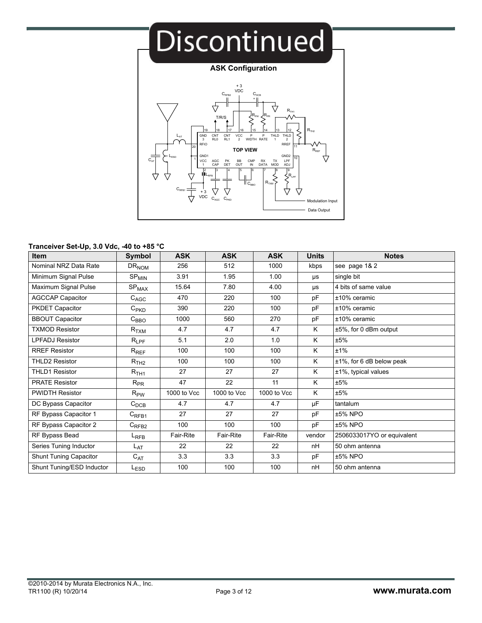

#### **Tranceiver Set-Up, 3.0 Vdc, -40 to +85 °C**

| <b>Item</b>                   | Symbol                       | <b>ASK</b>  | <b>ASK</b>  | <b>ASK</b>  | <b>Units</b> | <b>Notes</b>                 |
|-------------------------------|------------------------------|-------------|-------------|-------------|--------------|------------------------------|
| Nominal NRZ Data Rate         | $DR_{NOM}$                   | 256         | 512         | 1000        | kbps         | see page 1& 2                |
| Minimum Signal Pulse          | $SP_{MIN}$                   | 3.91        | 1.95        | 1.00        | μs           | single bit                   |
| Maximum Signal Pulse          | $\mathrm{SP}_{\mathrm{MAX}}$ | 15.64       | 7.80        | 4.00        | μs           | 4 bits of same value         |
| <b>AGCCAP Capacitor</b>       | $C_{AGC}$                    | 470         | 220         | 100         | pF           | $±10\%$ ceramic              |
| PKDET Capacitor               | $C_{PKD}$                    | 390         | 220         | 100         | pF           | $±10\%$ ceramic              |
| <b>BBOUT Capacitor</b>        | $C_{\mathsf{BBO}}$           | 1000        | 560         | 270         | pF           | ±10% ceramic                 |
| <b>TXMOD Resistor</b>         | $R_{\rm TXM}$                | 4.7         | 4.7         | 4.7         | K            | ±5%, for 0 dBm output        |
| <b>LPFADJ Resistor</b>        | $R_{LPF}$                    | 5.1         | 2.0         | 1.0         | K            | ±5%                          |
| <b>RREF Resistor</b>          | $R_{REF}$                    | 100         | 100         | 100         | K            | ±1%                          |
| <b>THLD2 Resistor</b>         | R <sub>TH2</sub>             | 100         | 100         | 100         | K            | $±1\%$ , for 6 dB below peak |
| <b>THLD1 Resistor</b>         | $R_{TH1}$                    | 27          | 27          | 27          | K            | ±1%, typical values          |
| <b>PRATE Resistor</b>         | $R_{PR}$                     | 47          | 22          | 11          | K            | ±5%                          |
| <b>PWIDTH Resistor</b>        | $R_{PW}$                     | 1000 to Vcc | 1000 to Vcc | 1000 to Vcc | K            | ±5%                          |
| DC Bypass Capacitor           | $C_{DCB}$                    | 4.7         | 4.7         | 4.7         | μF           | tantalum                     |
| RF Bypass Capacitor 1         | $C_{RFB1}$                   | 27          | 27          | 27          | pF           | ±5% NPO                      |
| RF Bypass Capacitor 2         | $C_{RFB2}$                   | 100         | 100         | 100         | pF           | $±5\%$ NPO                   |
| RF Bypass Bead                | L <sub>RFB</sub>             | Fair-Rite   | Fair-Rite   | Fair-Rite   | vendor       | 2506033017YO or equivalent   |
| Series Tuning Inductor        | L <sub>AT</sub>              | 22          | 22          | 22          | nH           | 50 ohm antenna               |
| <b>Shunt Tuning Capacitor</b> | $C_{AT}$                     | 3.3         | 3.3         | 3.3         | pF           | ±5% NPO                      |
| Shunt Tuning/ESD Inductor     | L <sub>ESD</sub>             | 100         | 100         | 100         | nH           | 50 ohm antenna               |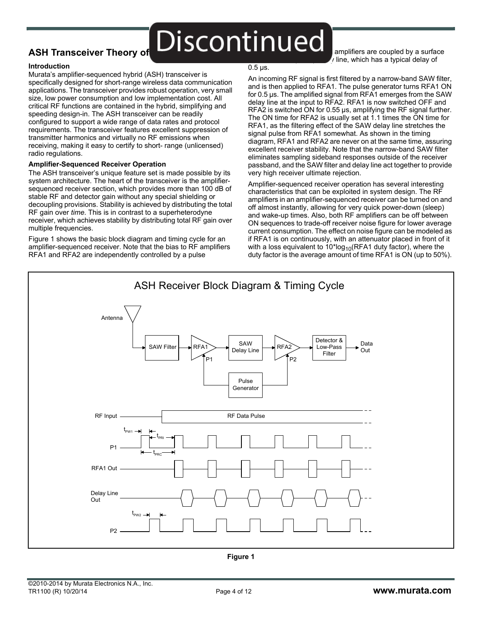### ASH Transceiver Theory of **Discontinued**

**Introduction**

Murata's amplifier-sequenced hybrid (ASH) transceiver is specifically designed for short-range wireless data communication applications. The transceiver provides robust operation, very small size, low power consumption and low implementation cost. All critical RF functions are contained in the hybrid, simplifying and speeding design-in. The ASH transceiver can be readily configured to support a wide range of data rates and protocol requirements. The transceiver features excellent suppression of transmitter harmonics and virtually no RF emissions when receiving, making it easy to certify to short- range (unlicensed) radio regulations.

### **Amplifier-Sequenced Receiver Operation**

The ASH transceiver's unique feature set is made possible by its system architecture. The heart of the transceiver is the amplifiersequenced receiver section, which provides more than 100 dB of stable RF and detector gain without any special shielding or decoupling provisions. Stability is achieved by distributing the total RF gain over *time*. This is in contrast to a superheterodyne receiver, which achieves stability by distributing total RF gain over multiple frequencies.

Figure 1 shows the basic block diagram and timing cycle for an amplifier-sequenced receiver. Note that the bias to RF amplifiers RFA1 and RFA2 are independently controlled by a pulse

#### $0.5$  µs.

amplifiers are coupled by a surface Ine, which has a typical delay of

An incoming RF signal is first filtered by a narrow-band SAW filter, and is then applied to RFA1. The pulse generator turns RFA1 ON for 0.5 µs. The amplified signal from RFA1 emerges from the SAW delay line at the input to RFA2. RFA1 is now switched OFF and RFA2 is switched ON for 0.55 µs, amplifying the RF signal further. The ON time for RFA2 is usually set at 1.1 times the ON time for RFA1, as the filtering effect of the SAW delay line stretches the signal pulse from RFA1 somewhat. As shown in the timing diagram, RFA1 and RFA2 are never on at the same time, assuring excellent receiver stability. Note that the narrow-band SAW filter eliminates sampling sideband responses outside of the receiver passband, and the SAW filter and delay line act together to provide very high receiver ultimate rejection.

Amplifier-sequenced receiver operation has several interesting characteristics that can be exploited in system design. The RF amplifiers in an amplifier-sequenced receiver can be turned on and off almost instantly, allowing for very quick power-down (sleep) and wake-up times. Also, both RF amplifiers can be off between ON sequences to trade-off receiver noise figure for lower average current consumption. The effect on noise figure can be modeled as if RFA1 is on continuously, with an attenuator placed in front of it with a loss equivalent to  $10*log_{10}(RFA1$  duty factor), where the duty factor is the average amount of time RFA1 is ON (up to 50%).

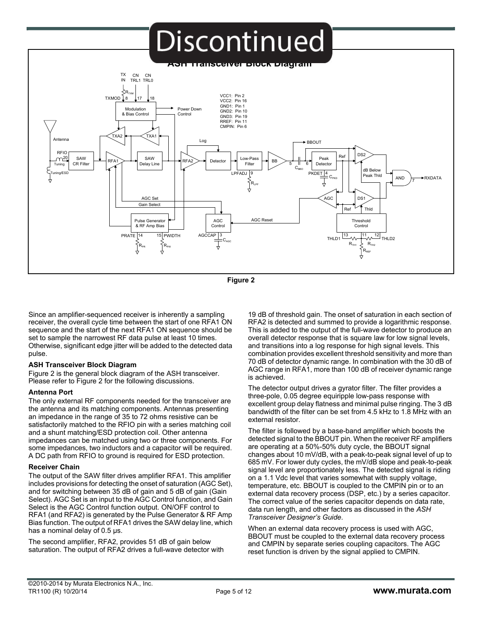

**Figure 2**

Since an amplifier-sequenced receiver is inherently a sampling receiver, the overall cycle time between the start of one RFA1 ON sequence and the start of the next RFA1 ON sequence should be set to sample the narrowest RF data pulse at least 10 times. Otherwise, significant edge jitter will be added to the detected data pulse.

#### **ASH Transceiver Block Diagram**

Figure 2 is the general block diagram of the ASH transceiver. Please refer to Figure 2 for the following discussions.

#### **Antenna Port**

The only external RF components needed for the transceiver are the antenna and its matching components. Antennas presenting an impedance in the range of 35 to 72 ohms resistive can be satisfactorily matched to the RFIO pin with a series matching coil and a shunt matching/ESD protection coil. Other antenna impedances can be matched using two or three components. For some impedances, two inductors and a capacitor will be required. A DC path from RFIO to ground is required for ESD protection.

#### **Receiver Chain**

The output of the SAW filter drives amplifier RFA1. This amplifier includes provisions for detecting the onset of saturation (AGC Set), and for switching between 35 dB of gain and 5 dB of gain (Gain Select). AGC Set is an input to the AGC Control function, and Gain Select is the AGC Control function output. ON/OFF control to RFA1 (and RFA2) is generated by the Pulse Generator & RF Amp Bias function. The output of RFA1 drives the SAW delay line, which has a nominal delay of 0.5  $\mu$ s.

The second amplifier, RFA2, provides 51 dB of gain below saturation. The output of RFA2 drives a full-wave detector with

19 dB of threshold gain. The onset of saturation in each section of RFA2 is detected and summed to provide a logarithmic response. This is added to the output of the full-wave detector to produce an overall detector response that is square law for low signal levels, and transitions into a log response for high signal levels. This combination provides excellent threshold sensitivity and more than 70 dB of detector dynamic range. In combination with the 30 dB of AGC range in RFA1, more than 100 dB of receiver dynamic range is achieved.

The detector output drives a gyrator filter. The filter provides a three-pole, 0.05 degree equiripple low-pass response with excellent group delay flatness and minimal pulse ringing. The 3 dB bandwidth of the filter can be set from 4.5 kHz to 1.8 MHz with an external resistor.

The filter is followed by a base-band amplifier which boosts the detected signal to the BBOUT pin. When the receiver RF amplifiers are operating at a 50%-50% duty cycle, the BBOUT signal changes about 10 mV/dB, with a peak-to-peak signal level of up to 685 mV. For lower duty cycles, the mV/dB slope and peak-to-peak signal level are proportionately less. The detected signal is riding on a 1.1 Vdc level that varies somewhat with supply voltage, temperature, etc. BBOUT is coupled to the CMPIN pin or to an external data recovery process (DSP, etc.) by a series capacitor. The correct value of the series capacitor depends on data rate, data run length, and other factors as discussed in the *ASH Transceiver Designer's Guide*.

When an external data recovery process is used with AGC, BBOUT must be coupled to the external data recovery process and CMPIN by separate series coupling capacitors. The AGC reset function is driven by the signal applied to CMPIN.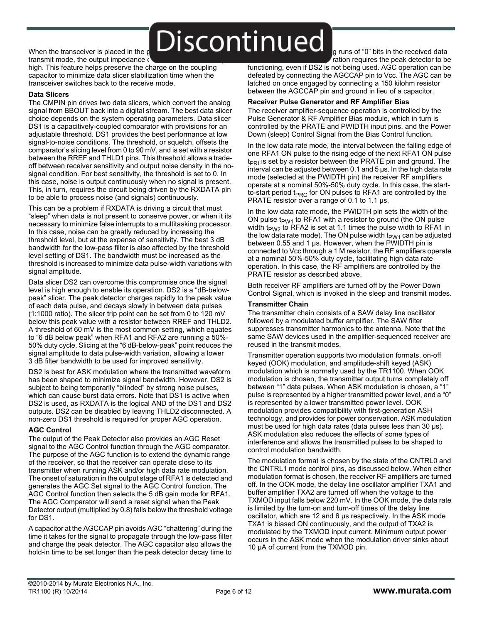When the transceiver is placed in the power-down  $\sum_{\text{When the transc}}$   $\sum$  is  $\sum$  is  $\sum$ transmit mode, the output impedance of

high. This feature helps preserve the charge on the coupling capacitor to minimize data slicer stabilization time when the transceiver switches back to the receive mode.

#### **Data Slicers**

The CMPIN pin drives two data slicers, which convert the analog signal from BBOUT back into a digital stream. The best data slicer choice depends on the system operating parameters. Data slicer DS1 is a capacitively-coupled comparator with provisions for an adjustable threshold. DS1 provides the best performance at low signal-to-noise conditions. The threshold, or squelch, offsets the comparator's slicing level from 0 to 90 mV, and is set with a resistor between the RREF and THLD1 pins. This threshold allows a tradeoff between receiver sensitivity and output noise density in the nosignal condition. For best sensitivity, the threshold is set to 0. In this case, noise is output continuously when no signal is present. This, in turn, requires the circuit being driven by the RXDATA pin to be able to process noise (and signals) continuously.

This can be a problem if RXDATA is driving a circuit that must "sleep" when data is not present to conserve power, or when it its necessary to minimize false interrupts to a multitasking processor. In this case, noise can be greatly reduced by increasing the threshold level, but at the expense of sensitivity. The best 3 dB bandwidth for the low-pass filter is also affected by the threshold level setting of DS1. The bandwidth must be increased as the threshold is increased to minimize data pulse-width variations with signal amplitude.

Data slicer DS2 can overcome this compromise once the signal level is high enough to enable its operation. DS2 is a "dB-belowpeak" slicer. The peak detector charges rapidly to the peak value of each data pulse, and decays slowly in between data pulses (1:1000 ratio). The slicer trip point can be set from 0 to 120 mV below this peak value with a resistor between RREF and THLD2. A threshold of 60 mV is the most common setting, which equates to "6 dB below peak" when RFA1 and RFA2 are running a 50%- 50% duty cycle. Slicing at the "6 dB-below-peak" point reduces the signal amplitude to data pulse-width variation, allowing a lower 3 dB filter bandwidth to be used for improved sensitivity.

DS2 is best for ASK modulation where the transmitted waveform has been shaped to minimize signal bandwidth. However, DS2 is subject to being temporarily "blinded" by strong noise pulses, which can cause burst data errors. Note that DS1 is active when DS2 is used, as RXDATA is the logical AND of the DS1 and DS2 outputs. DS2 can be disabled by leaving THLD2 disconnected. A non-zero DS1 threshold is required for proper AGC operation.

#### **AGC Control**

The output of the Peak Detector also provides an AGC Reset signal to the AGC Control function through the AGC comparator. The purpose of the AGC function is to extend the dynamic range of the receiver, so that the receiver can operate close to its transmitter when running ASK and/or high data rate modulation. The onset of saturation in the output stage of RFA1 is detected and generates the AGC Set signal to the AGC Control function. The AGC Control function then selects the 5 dB gain mode for RFA1. The AGC Comparator will send a reset signal when the Peak Detector output (multiplied by 0.8) falls below the threshold voltage for DS1.

A capacitor at the AGCCAP pin avoids AGC "chattering" during the time it takes for the signal to propagate through the low-pass filter and charge the peak detector. The AGC capacitor also allows the hold-in time to be set longer than the peak detector decay time to

g runs of "0" bits in the received data ration requires the peak detector to be

functioning, even if DS2 is not being used. AGC operation can be defeated by connecting the AGCCAP pin to Vcc. The AGC can be latched on once engaged by connecting a 150 kilohm resistor between the AGCCAP pin and ground in lieu of a capacitor.

#### **Receiver Pulse Generator and RF Amplifier Bias**

The receiver amplifier-sequence operation is controlled by the Pulse Generator & RF Amplifier Bias module, which in turn is controlled by the PRATE and PWIDTH input pins, and the Power Down (sleep) Control Signal from the Bias Control function.

In the low data rate mode, the interval between the falling edge of one RFA1 ON pulse to the rising edge of the next RFA1 ON pulse  $t_{PR1}$  is set by a resistor between the PRATE pin and ground. The interval can be adjusted between 0.1 and 5 µs. In the high data rate mode (selected at the PWIDTH pin) the receiver RF amplifiers operate at a nominal 50%-50% duty cycle. In this case, the startto-start period t<sub>PRC</sub> for ON pulses to RFA1 are controlled by the PRATE resistor over a range of 0.1 to 1.1 us.

In the low data rate mode, the PWIDTH pin sets the width of the ON pulse  $t_{PW1}$  to RFA1 with a resistor to ground (the ON pulse width t<sub>PW2</sub> to RFA2 is set at 1.1 times the pulse width to RFA1 in the low data rate mode). The ON pulse width  $t_{PW1}$  can be adjusted between 0.55 and 1 µs. However, when the PWIDTH pin is connected to Vcc through a 1 M resistor, the RF amplifiers operate at a nominal 50%-50% duty cycle, facilitating high data rate operation. In this case, the RF amplifiers are controlled by the PRATE resistor as described above.

Both receiver RF amplifiers are turned off by the Power Down Control Signal, which is invoked in the sleep and transmit modes.

#### **Transmitter Chain**

The transmitter chain consists of a SAW delay line oscillator followed by a modulated buffer amplifier. The SAW filter suppresses transmitter harmonics to the antenna. Note that the same SAW devices used in the amplifier-sequenced receiver are reused in the transmit modes.

Transmitter operation supports two modulation formats, on-off keyed (OOK) modulation, and amplitude-shift keyed (ASK) modulation which is normally used by the TR1100. When OOK modulation is chosen, the transmitter output turns completely off between "1" data pulses. When ASK modulation is chosen, a "1" pulse is represented by a higher transmitted power level, and a "0" is represented by a lower transmitted power level. OOK modulation provides compatibility with first-generation ASH technology, and provides for power conservation. ASK modulation must be used for high data rates (data pulses less than 30 µs). ASK modulation also reduces the effects of some types of interference and allows the transmitted pulses to be shaped to control modulation bandwidth.

The modulation format is chosen by the state of the CNTRL0 and the CNTRL1 mode control pins, as discussed below. When either modulation format is chosen, the receiver RF amplifiers are turned off. In the OOK mode, the delay line oscillator amplifier TXA1 and buffer amplifier TXA2 are turned off when the voltage to the TXMOD input falls below 220 mV. In the OOK mode, the data rate is limited by the turn-on and turn-off times of the delay line oscillator, which are 12 and 6 µs respectively. In the ASK mode TXA1 is biased ON continuously, and the output of TXA2 is modulated by the TXMOD input current. Minimum output power occurs in the ASK mode when the modulation driver sinks about 10 µA of current from the TXMOD pin.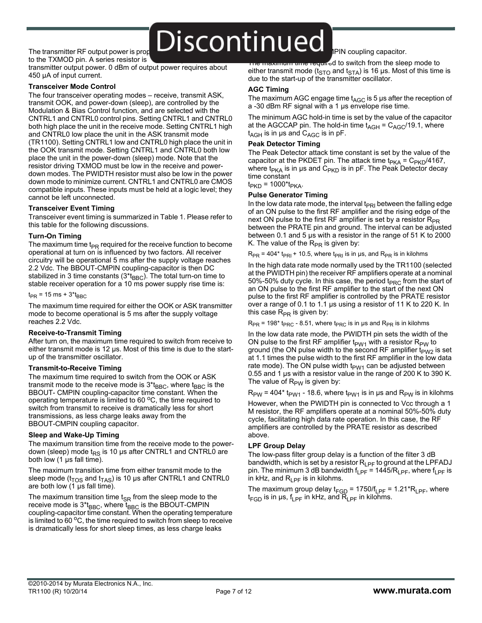### The transmitter RF output power is prop $\blacksquare$  Discontinuted  $\blacksquare$

to the TXMOD pin. A series resistor is

transmitter output power. 0 dBm of output power requires about 450 µA of input current.

#### **Transceiver Mode Control**

The four transceiver operating modes – receive, transmit ASK, transmit OOK, and power-down (sleep), are controlled by the Modulation & Bias Control function, and are selected with the CNTRL1 and CNTRL0 control pins. Setting CNTRL1 and CNTRL0 both high place the unit in the receive mode. Setting CNTRL1 high and CNTRL0 low place the unit in the ASK transmit mode (TR1100). Setting CNTRL1 low and CNTRL0 high place the unit in the OOK transmit mode. Setting CNTRL1 and CNTRL0 both low place the unit in the power-down (sleep) mode. Note that the resistor driving TXMOD must be low in the receive and powerdown modes. The PWIDTH resistor must also be low in the power down mode to minimize current. CNTRL1 and CNTRL0 are CMOS compatible inputs. These inputs must be held at a logic level; they cannot be left unconnected.

#### **Transceiver Event Timing**

Transceiver event timing is summarized in Table 1. Please refer to this table for the following discussions.

#### **Turn-On Timing**

The maximum time  $t_{PR}$  required for the receive function to become operational at turn on is influenced by two factors. All receiver circuitry will be operational 5 ms after the supply voltage reaches 2.2 Vdc. The BBOUT-CMPIN coupling-capacitor is then DC stabilized in 3 time constants  $(3 * t_{BBC})$ . The total turn-on time to stable receiver operation for a 10 ms power supply rise time is:

 $t_{PR}$  = 15 ms + 3\* $t_{BBC}$ 

The maximum time required for either the OOK or ASK transmitter mode to become operational is 5 ms after the supply voltage reaches 2.2 Vdc.

#### **Receive-to-Transmit Timing**

After turn on, the maximum time required to switch from receive to either transmit mode is 12 us. Most of this time is due to the startup of the transmitter oscillator.

#### **Transmit-to-Receive Timing**

The maximum time required to switch from the OOK or ASK transmit mode to the receive mode is  $3 * t_{BBC}$ , where  $t_{BBC}$  is the BBOUT- CMPIN coupling-capacitor time constant. When the operating temperature is limited to  $60^{\circ}$ C, the time required to switch from transmit to receive is dramatically less for short transmissions, as less charge leaks away from the BBOUT-CMPIN coupling capacitor.

#### **Sleep and Wake-Up Timing**

The maximum transition time from the receive mode to the powerdown (sleep) mode  $t_{RS}$  is 10 µs after CNTRL1 and CNTRL0 are both low (1 µs fall time).

The maximum transition time from either transmit mode to the sleep mode ( $t_{TOS}$  and  $t_{TAS}$ ) is 10 µs after CNTRL1 and CNTRL0 are both low (1 µs fall time).

The maximum transition time  $t_{SR}$  from the sleep mode to the receive mode is  $3 * t_{BBC}$ , where  $t_{BBC}$  is the BBOUT-CMPIN coupling-capacitor time constant. When the operating temperature is limited to  $60<sup>o</sup>C$ , the time required to switch from sleep to receive is dramatically less for short sleep times, as less charge leaks

IPIN coupling capacitor.

mam and required to switch from the sleep mode to either transmit mode ( $t_{STO}$  and  $t_{STA}$ ) is 16 µs. Most of this time is due to the start-up of the transmitter oscillator.

#### **AGC Timing**

The maximum AGC engage time  $t_{AGC}$  is 5 µs after the reception of a -30 dBm RF signal with a 1 µs envelope rise time.

The minimum AGC hold-in time is set by the value of the capacitor at the AGCCAP pin. The hold-in time  $t_{AGH} = C_{AGC}/19.1$ , where  $t_{AGH}$  is in µs and  $C_{AGC}$  is in pF.

#### **Peak Detector Timing**

The Peak Detector attack time constant is set by the value of the capacitor at the PKDET pin. The attack time  $t_{PKA} = C_{PKD}/4167$ , where t<sub>PKA</sub> is in µs and C<sub>PKD</sub> is in pF. The Peak Detector decay time constant

 $t_{PKD}$  = 1000\* $t_{PKA}$ .

#### **Pulse Generator Timing**

In the low data rate mode, the interval  $t_{PRI}$  between the falling edge of an ON pulse to the first RF amplifier and the rising edge of the next ON pulse to the first RF amplifier is set by a resistor  $R_{PR}$ between the PRATE pin and ground. The interval can be adjusted between 0.1 and 5 µs with a resistor in the range of 51 K to 2000 K. The value of the  $R_{PR}$  is given by:

 $R_{PR}$  = 404\* t<sub>PRI</sub> + 10.5, where t<sub>PRI</sub> is in µs, and  $R_{PR}$  is in kilohms

In the high data rate mode normally used by the TR1100 (selected at the PWIDTH pin) the receiver RF amplifiers operate at a nominal 50%-50% duty cycle. In this case, the period t $_{PRC}$  from the start of an ON pulse to the first RF amplifier to the start of the next ON pulse to the first RF amplifier is controlled by the PRATE resistor over a range of 0.1 to 1.1 µs using a resistor of 11 K to 220 K. In this case  $R_{PR}$  is given by:

 $R_{PR}$  = 198\* t<sub>PRC</sub> - 8.51, where t<sub>PRC</sub> is in µs and  $R_{PR}$  is in kilohms

In the low data rate mode, the PWIDTH pin sets the width of the ON pulse to the first RF amplifier  $t_{PW1}$  with a resistor  $R_{PW}$  to ground (the ON pulse width to the second RF amplifier  $t_{PW2}$  is set at 1.1 times the pulse width to the first RF amplifier in the low data rate mode). The ON pulse width  $t_{PW1}$  can be adjusted between 0.55 and 1 µs with a resistor value in the range of 200 K to 390 K. The value of  $R_{PW}$  is given by:

 $R_{PW}$  = 404\* t<sub>PW1</sub> - 18.6, where t<sub>PW1</sub> is in µs and  $R_{PW}$  is in kilohms

However, when the PWIDTH pin is connected to Vcc through a 1 M resistor, the RF amplifiers operate at a nominal 50%-50% duty cycle, facilitating high data rate operation. In this case, the RF amplifiers are controlled by the PRATE resistor as described above.

#### **LPF Group Delay**

The low-pass filter group delay is a function of the filter 3 dB bandwidth, which is set by a resistor  $R_{LPF}$  to ground at the LPFADJ pin. The minimum 3 dB bandwidth  $f_{LPF}$  = 1445/R<sub>LPF</sub>, where  $f_{LPF}$  is in kHz, and  $R_{\text{IPF}}$  is in kilohms.

The maximum group delay  $t_{FGD}$  = 1750/ $t_{LPF}$  = 1.21\*R<sub>LPF</sub>, where  $t_{FGD}$  is in  $\mu s$ ,  $t_{LPF}$  in kHz, and  $R_{LPF}$  in kilohms.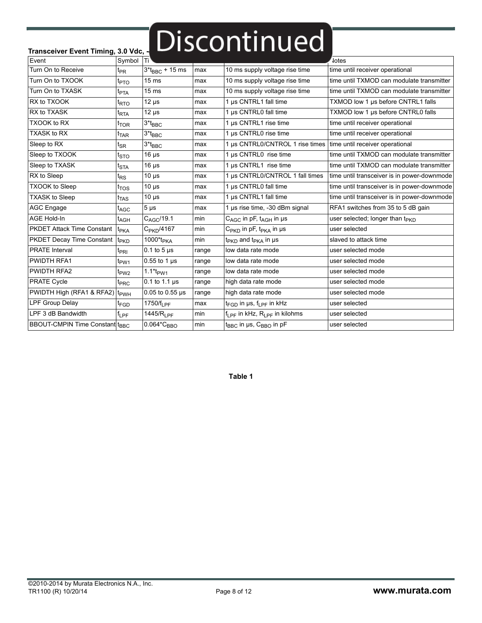# Transceiver Event Timing, 3.0 Vdc, - **Discontinued**

| Event                                 | Symbol Ti          |                           |       |                                                    | lotes                                       |
|---------------------------------------|--------------------|---------------------------|-------|----------------------------------------------------|---------------------------------------------|
| Turn On to Receive                    | $t_{PR}$           | $3*_{BBC} + 15$ ms        | max   | 10 ms supply voltage rise time                     | time until receiver operational             |
| Turn On to TXOOK                      | $t_{\text{PTO}}$   | 15 <sub>ms</sub>          | max   | 10 ms supply voltage rise time                     | time until TXMOD can modulate transmitter   |
| Turn On to TXASK                      | $t_{\text{PTA}}$   | $15 \text{ ms}$           | max   | 10 ms supply voltage rise time                     | time until TXMOD can modulate transmitter   |
| RX to TXOOK                           | t <sub>RTO</sub>   | $12 \mu s$                | max   | 1 µs CNTRL1 fall time                              | TXMOD low 1 µs before CNTRL1 falls          |
| RX to TXASK                           | <sup>t</sup> RTA   | $12 \mu s$                | max   | 1 µs CNTRL0 fall time                              | TXMOD low 1 µs before CNTRL0 falls          |
| <b>TXOOK to RX</b>                    | $t_{\mathsf{TOR}}$ | $3*_{\mathsf{BBC}}$       | max   | 1 µs CNTRL1 rise time                              | time until receiver operational             |
| <b>TXASK to RX</b>                    | $t_{\text{TAR}}$   | $3*_{BBC}$                | max   | 1 µs CNTRL0 rise time                              | time until receiver operational             |
| Sleep to RX                           | $t_{\mathsf{SR}}$  | $3*$ t $_{BBC}$           | max   | 1 µs CNTRL0/CNTROL 1 rise times                    | time until receiver operational             |
| Sleep to TXOOK                        | $t_{\text{STO}}$   | $16 \mu s$                | max   | 1 µs CNTRL0 rise time                              | time until TXMOD can modulate transmitter   |
| Sleep to TXASK                        | $t_{\text{STA}}$   | $16 \mu s$                | max   | 1 µs CNTRL1 rise time                              | time until TXMOD can modulate transmitter   |
| RX to Sleep                           | t <sub>RS</sub>    | $10 \mu s$                | max   | 1 µs CNTRL0/CNTROL 1 fall times                    | time until transceiver is in power-downmode |
| <b>TXOOK to Sleep</b>                 | $t_{\text{TOS}}$   | $10 \mu s$                | max   | 1 µs CNTRL0 fall time                              | time until transceiver is in power-downmode |
| <b>TXASK to Sleep</b>                 | $t_{\text{TAS}}$   | $10 \mu s$                | max   | 1 µs CNTRL1 fall time                              | time until transceiver is in power-downmode |
| AGC Engage                            | t <sub>AGC</sub>   | $5 \mu s$                 | max   | 1 µs rise time, -30 dBm signal                     | RFA1 switches from 35 to 5 dB gain          |
| <b>AGE Hold-In</b>                    | t <sub>AGH</sub>   | $C_{AGC}$ /19.1           | min   | $C_{AGC}$ in pF, $t_{AGH}$ in µs                   | user selected; longer than t <sub>PKD</sub> |
| <b>PKDET Attack Time Constant</b>     | t <sub>PKA</sub>   | C <sub>PKD</sub> /4167    | min   | $C_{\text{PKD}}$ in pF, t <sub>PKA</sub> in µs     | user selected                               |
| <b>PKDET Decay Time Constant</b>      | t <sub>PKD</sub>   | 1000*t <sub>PKA</sub>     | min   | $t_{PKD}$ and $t_{PKA}$ in $\mu s$                 | slaved to attack time                       |
| <b>PRATE</b> Interval                 | <sup>t</sup> PRI   | $0.1$ to 5 $\mu$ s        | range | low data rate mode                                 | user selected mode                          |
| <b>PWIDTH RFA1</b>                    | $t_{\text{PW1}}$   | $0.55$ to 1 $\mu$ s       | range | low data rate mode                                 | user selected mode                          |
| <b>PWIDTH RFA2</b>                    | t <sub>PW2</sub>   | $1.1*$ t <sub>pW1</sub>   | range | low data rate mode                                 | user selected mode                          |
| <b>PRATE Cycle</b>                    | t <sub>PRC</sub>   | $0.1$ to 1.1 $\mu$ s      | range | high data rate mode                                | user selected mode                          |
| PWIDTH High (RFA1 & RFA2)             | t <sub>PWH</sub>   | $0.05$ to $0.55$ µs       | range | high data rate mode                                | user selected mode                          |
| <b>LPF Group Delay</b>                | t <sub>FGD</sub>   | 1750/ $f_{\rm 1\,PF}$     | max   | $t_{FGD}$ in $\mu s$ , $f_{IPF}$ in kHz            | user selected                               |
| LPF 3 dB Bandwidth                    | $f_{LPF}$          | 1445/R <sub>LPF</sub>     | min   | $f_{\rm I\,PF}$ in kHz, $R_{\rm I\,PF}$ in kilohms | user selected                               |
| <b>BBOUT-CMPIN Time Constant tBBC</b> |                    | $0.064$ *C <sub>BBO</sub> | min   | $t_{BBC}$ in µs, $C_{BBO}$ in pF                   | user selected                               |
|                                       |                    |                           |       |                                                    |                                             |

**Table 1**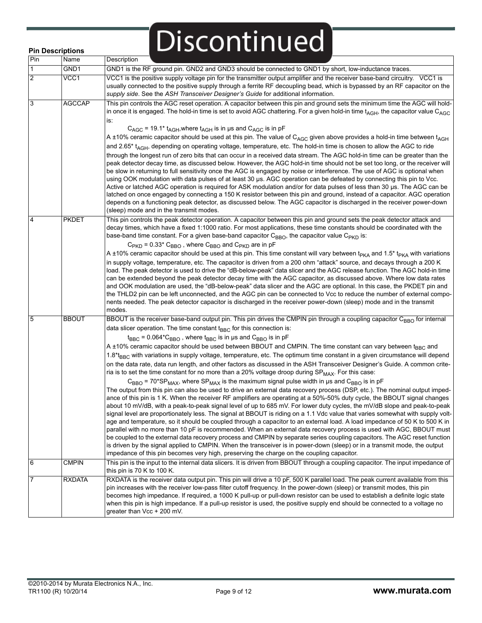|                | <b>Pin Descriptions</b> | Discontinued                                                                                                                                                                                                                                                                                                                                                                                                                                                                                                                                                                                                                                                                                                                                                                                                                                                                                                                                                                                                                                                                                                                                                                                                                                                                                                                                                                                                                                                                                                                                                                                                                                                                                                                                                                                                                                                                                                                                                                                                                                                                                           |
|----------------|-------------------------|--------------------------------------------------------------------------------------------------------------------------------------------------------------------------------------------------------------------------------------------------------------------------------------------------------------------------------------------------------------------------------------------------------------------------------------------------------------------------------------------------------------------------------------------------------------------------------------------------------------------------------------------------------------------------------------------------------------------------------------------------------------------------------------------------------------------------------------------------------------------------------------------------------------------------------------------------------------------------------------------------------------------------------------------------------------------------------------------------------------------------------------------------------------------------------------------------------------------------------------------------------------------------------------------------------------------------------------------------------------------------------------------------------------------------------------------------------------------------------------------------------------------------------------------------------------------------------------------------------------------------------------------------------------------------------------------------------------------------------------------------------------------------------------------------------------------------------------------------------------------------------------------------------------------------------------------------------------------------------------------------------------------------------------------------------------------------------------------------------|
| Pin            | Name                    | Description                                                                                                                                                                                                                                                                                                                                                                                                                                                                                                                                                                                                                                                                                                                                                                                                                                                                                                                                                                                                                                                                                                                                                                                                                                                                                                                                                                                                                                                                                                                                                                                                                                                                                                                                                                                                                                                                                                                                                                                                                                                                                            |
| $\mathbf{1}$   | GND1                    | GND1 is the RF ground pin. GND2 and GND3 should be connected to GND1 by short, low-inductance traces.                                                                                                                                                                                                                                                                                                                                                                                                                                                                                                                                                                                                                                                                                                                                                                                                                                                                                                                                                                                                                                                                                                                                                                                                                                                                                                                                                                                                                                                                                                                                                                                                                                                                                                                                                                                                                                                                                                                                                                                                  |
| $\overline{2}$ | VCC1                    | VCC1 is the positive supply voltage pin for the transmitter output amplifier and the receiver base-band circuitry. VCC1 is<br>usually connected to the positive supply through a ferrite RF decoupling bead, which is bypassed by an RF capacitor on the<br>supply side. See the ASH Transceiver Designer's Guide for additional information.                                                                                                                                                                                                                                                                                                                                                                                                                                                                                                                                                                                                                                                                                                                                                                                                                                                                                                                                                                                                                                                                                                                                                                                                                                                                                                                                                                                                                                                                                                                                                                                                                                                                                                                                                          |
| 3              | <b>AGCCAP</b>           | This pin controls the AGC reset operation. A capacitor between this pin and ground sets the minimum time the AGC will hold-<br>in once it is engaged. The hold-in time is set to avoid AGC chattering. For a given hold-in time $t_{AGH}$ , the capacitor value C <sub>AGC</sub><br>is:<br>$C_{AGC}$ = 19.1 <sup>*</sup> t <sub>AGH</sub> , where t <sub>AGH</sub> is in µs and $C_{AGC}$ is in pF<br>A ±10% ceramic capacitor should be used at this pin. The value of C <sub>AGC</sub> given above provides a hold-in time between t <sub>AGH</sub><br>and 2.65* t <sub>AGH</sub> , depending on operating voltage, temperature, etc. The hold-in time is chosen to allow the AGC to ride<br>through the longest run of zero bits that can occur in a received data stream. The AGC hold-in time can be greater than the<br>peak detector decay time, as discussed below. However, the AGC hold-in time should not be set too long, or the receiver will<br>be slow in returning to full sensitivity once the AGC is engaged by noise or interference. The use of AGC is optional when<br>using OOK modulation with data pulses of at least 30 µs. AGC operation can be defeated by connecting this pin to Vcc.<br>Active or latched AGC operation is required for ASK modulation and/or for data pulses of less than 30 µs. The AGC can be<br>latched on once engaged by connecting a 150 K resistor between this pin and ground, instead of a capacitor. AGC operation<br>depends on a functioning peak detector, as discussed below. The AGC capacitor is discharged in the receiver power-down                                                                                                                                                                                                                                                                                                                                                                                                                                                                                                   |
| 4              | <b>PKDET</b>            | (sleep) mode and in the transmit modes.<br>This pin controls the peak detector operation. A capacitor between this pin and ground sets the peak detector attack and<br>decay times, which have a fixed 1:1000 ratio. For most applications, these time constants should be coordinated with the<br>base-band time constant. For a given base-band capacitor $C_{RRO}$ , the capacitor value $C_{PKD}$ is:<br>$C_{\text{PKD}}$ = 0.33* $C_{\text{BBO}}$ , where $C_{\text{BBO}}$ and $C_{\text{PKD}}$ are in pF<br>A ±10% ceramic capacitor should be used at this pin. This time constant will vary between t <sub>PKA</sub> and 1.5 <sup>*</sup> t <sub>PKA</sub> with variations<br>in supply voltage, temperature, etc. The capacitor is driven from a 200 ohm "attack" source, and decays through a 200 K<br>load. The peak detector is used to drive the "dB-below-peak" data slicer and the AGC release function. The AGC hold-in time<br>can be extended beyond the peak detector decay time with the AGC capacitor, as discussed above. Where low data rates<br>and OOK modulation are used, the "dB-below-peak" data slicer and the AGC are optional. In this case, the PKDET pin and<br>the THLD2 pin can be left unconnected, and the AGC pin can be connected to Vcc to reduce the number of external compo-                                                                                                                                                                                                                                                                                                                                                                                                                                                                                                                                                                                                                                                                                                                                                                               |
|                |                         | nents needed. The peak detector capacitor is discharged in the receiver power-down (sleep) mode and in the transmit<br>modes.                                                                                                                                                                                                                                                                                                                                                                                                                                                                                                                                                                                                                                                                                                                                                                                                                                                                                                                                                                                                                                                                                                                                                                                                                                                                                                                                                                                                                                                                                                                                                                                                                                                                                                                                                                                                                                                                                                                                                                          |
| 5              | <b>BBOUT</b>            | BBOUT is the receiver base-band output pin. This pin drives the CMPIN pin through a coupling capacitor C <sub>BBO</sub> for internal<br>data slicer operation. The time constant $t_{BBC}$ for this connection is:<br>$t_{BBC}$ = 0.064* $C_{BBO}$ , where $t_{BBC}$ is in µs and $C_{BBO}$ is in pF<br>A ±10% ceramic capacitor should be used between BBOUT and CMPIN. The time constant can vary between t <sub>BBC</sub> and<br>1.8*t <sub>BBC</sub> with variations in supply voltage, temperature, etc. The optimum time constant in a given circumstance will depend<br>on the data rate, data run length, and other factors as discussed in the ASH Transceiver Designer's Guide. A common crite-<br>ria is to set the time constant for no more than a 20% voltage droop during $SP_{MAX}$ . For this case:<br>$C_{\text{BBO}}$ = 70*SP <sub>MAX</sub> , where SP <sub>MAX</sub> is the maximum signal pulse width in us and C <sub>BBO</sub> is in pF<br>The output from this pin can also be used to drive an external data recovery process (DSP, etc.). The nominal output imped-<br>ance of this pin is 1 K. When the receiver RF amplifiers are operating at a 50%-50% duty cycle, the BBOUT signal changes<br>about 10 mV/dB, with a peak-to-peak signal level of up to 685 mV. For lower duty cycles, the mV/dB slope and peak-to-peak<br>signal level are proportionately less. The signal at BBOUT is riding on a 1.1 Vdc value that varies somewhat with supply volt-<br>age and temperature, so it should be coupled through a capacitor to an external load. A load impedance of 50 K to 500 K in<br>parallel with no more than 10 pF is recommended. When an external data recovery process is used with AGC, BBOUT must<br>be coupled to the external data recovery process and CMPIN by separate series coupling capacitors. The AGC reset function<br>is driven by the signal applied to CMPIN. When the transceiver is in power-down (sleep) or in a transmit mode, the output<br>impedance of this pin becomes very high, preserving the charge on the coupling capacitor. |
| 6              | <b>CMPIN</b>            | This pin is the input to the internal data slicers. It is driven from BBOUT through a coupling capacitor. The input impedance of<br>this pin is 70 K to 100 K.                                                                                                                                                                                                                                                                                                                                                                                                                                                                                                                                                                                                                                                                                                                                                                                                                                                                                                                                                                                                                                                                                                                                                                                                                                                                                                                                                                                                                                                                                                                                                                                                                                                                                                                                                                                                                                                                                                                                         |
|                | <b>RXDATA</b>           | RXDATA is the receiver data output pin. This pin will drive a 10 pF, 500 K parallel load. The peak current available from this<br>pin increases with the receiver low-pass filter cutoff frequency. In the power-down (sleep) or transmit modes, this pin<br>becomes high impedance. If required, a 1000 K pull-up or pull-down resistor can be used to establish a definite logic state<br>when this pin is high impedance. If a pull-up resistor is used, the positive supply end should be connected to a voltage no<br>greater than Vcc + 200 mV.                                                                                                                                                                                                                                                                                                                                                                                                                                                                                                                                                                                                                                                                                                                                                                                                                                                                                                                                                                                                                                                                                                                                                                                                                                                                                                                                                                                                                                                                                                                                                  |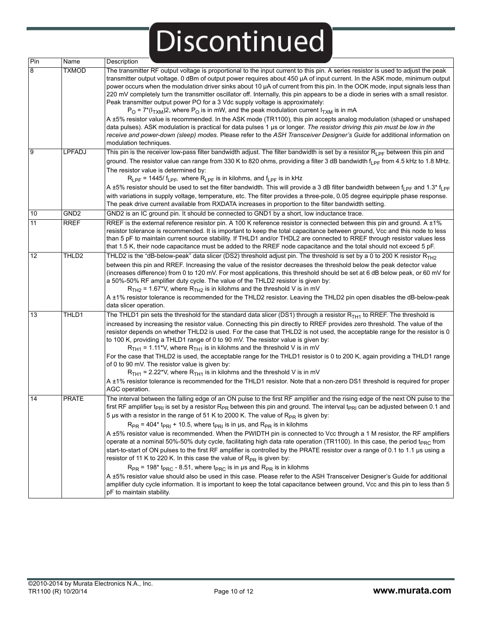| Pin            | Name             | Description                                                                                                                                                                                                                                                                                                                                                                                                                                                                                                                                                                                                                                                                                                                                                                                                                                                                                                                                                                                                                                                                                                                                                                                                                                                                                                                                                                                                     |
|----------------|------------------|-----------------------------------------------------------------------------------------------------------------------------------------------------------------------------------------------------------------------------------------------------------------------------------------------------------------------------------------------------------------------------------------------------------------------------------------------------------------------------------------------------------------------------------------------------------------------------------------------------------------------------------------------------------------------------------------------------------------------------------------------------------------------------------------------------------------------------------------------------------------------------------------------------------------------------------------------------------------------------------------------------------------------------------------------------------------------------------------------------------------------------------------------------------------------------------------------------------------------------------------------------------------------------------------------------------------------------------------------------------------------------------------------------------------|
| 8              | <b>TXMOD</b>     | The transmitter RF output voltage is proportional to the input current to this pin. A series resistor is used to adjust the peak<br>transmitter output voltage. 0 dBm of output power requires about 450 µA of input current. In the ASK mode, minimum output<br>power occurs when the modulation driver sinks about 10 µA of current from this pin. In the OOK mode, input signals less than<br>220 mV completely turn the transmitter oscillator off. Internally, this pin appears to be a diode in series with a small resistor.<br>Peak transmitter output power PO for a 3 Vdc supply voltage is approximately:<br>$P_{\rm O}$ = 7*( $I_{\rm TXM}$ )2, where $P_{\rm O}$ is in mW, and the peak modulation current $I_{\rm TXM}$ is in mA                                                                                                                                                                                                                                                                                                                                                                                                                                                                                                                                                                                                                                                                  |
|                |                  | A ±5% resistor value is recommended. In the ASK mode (TR1100), this pin accepts analog modulation (shaped or unshaped<br>data pulses). ASK modulation is practical for data pulses 1 µs or longer. The resistor driving this pin must be low in the<br>receive and power-down (sleep) modes. Please refer to the ASH Transceiver Designer's Guide for additional information on<br>modulation techniques.                                                                                                                                                                                                                                                                                                                                                                                                                                                                                                                                                                                                                                                                                                                                                                                                                                                                                                                                                                                                       |
| $\overline{9}$ | LPFADJ           | This pin is the receiver low-pass filter bandwidth adjust. The filter bandwidth is set by a resistor R <sub>LPF</sub> between this pin and<br>ground. The resistor value can range from 330 K to 820 ohms, providing a filter 3 dB bandwidth f <sub>l PF</sub> from 4.5 kHz to 1.8 MHz.<br>The resistor value is determined by:<br>$R_{LPF}$ = 1445/ f <sub>LPF</sub> , where $R_{LPF}$ is in kilohms, and f <sub>LPF</sub> is in kHz<br>A ±5% resistor should be used to set the filter bandwidth. This will provide a 3 dB filter bandwidth between f <sub>LPF</sub> and 1.3* f <sub>LPF</sub><br>with variations in supply voltage, temperature, etc. The filter provides a three-pole, 0.05 degree equiripple phase response.<br>The peak drive current available from RXDATA increases in proportion to the filter bandwidth setting.                                                                                                                                                                                                                                                                                                                                                                                                                                                                                                                                                                      |
| 10             | GND <sub>2</sub> | GND2 is an IC ground pin. It should be connected to GND1 by a short, low inductance trace.                                                                                                                                                                                                                                                                                                                                                                                                                                                                                                                                                                                                                                                                                                                                                                                                                                                                                                                                                                                                                                                                                                                                                                                                                                                                                                                      |
| 11             | <b>RREF</b>      | RREF is the external reference resistor pin. A 100 K reference resistor is connected between this pin and ground. A ±1%<br>resistor tolerance is recommended. It is important to keep the total capacitance between ground, Vcc and this node to less<br>than 5 pF to maintain current source stability. If THLD1 and/or THDL2 are connected to RREF through resistor values less<br>that 1.5 K, their node capacitance must be added to the RREF node capacitance and the total should not exceed 5 pF.                                                                                                                                                                                                                                                                                                                                                                                                                                                                                                                                                                                                                                                                                                                                                                                                                                                                                                        |
| 12             | THLD2            | THLD2 is the "dB-below-peak" data slicer (DS2) threshold adjust pin. The threshold is set by a 0 to 200 K resistor $R_{TH2}$<br>between this pin and RREF. Increasing the value of the resistor decreases the threshold below the peak detector value<br>(increases difference) from 0 to 120 mV. For most applications, this threshold should be set at 6 dB below peak, or 60 mV for<br>a 50%-50% RF amplifier duty cycle. The value of the THLD2 resistor is given by:<br>$RTH2$ = 1.67*V, where $RTH2$ is in kilohms and the threshold V is in mV<br>A ±1% resistor tolerance is recommended for the THLD2 resistor. Leaving the THLD2 pin open disables the dB-below-peak<br>data slicer operation.                                                                                                                                                                                                                                                                                                                                                                                                                                                                                                                                                                                                                                                                                                        |
| 13             | THLD1            | The THLD1 pin sets the threshold for the standard data slicer (DS1) through a resistor $R_{TH1}$ to RREF. The threshold is<br>increased by increasing the resistor value. Connecting this pin directly to RREF provides zero threshold. The value of the<br>resistor depends on whether THLD2 is used. For the case that THLD2 is not used, the acceptable range for the resistor is 0<br>to 100 K, providing a THLD1 range of 0 to 90 mV. The resistor value is given by:<br>$RTH1$ = 1.11*V, where $RTH1$ is in kilohms and the threshold V is in mV<br>For the case that THLD2 is used, the acceptable range for the THLD1 resistor is 0 to 200 K, again providing a THLD1 range<br>of 0 to 90 mV. The resistor value is given by:<br>$RTH1$ = 2.22*V, where $RTH1$ is in kilohms and the threshold V is in mV<br>A ±1% resistor tolerance is recommended for the THLD1 resistor. Note that a non-zero DS1 threshold is required for proper<br>AGC operation.                                                                                                                                                                                                                                                                                                                                                                                                                                                |
| 14             | <b>PRATE</b>     | The interval between the falling edge of an ON pulse to the first RF amplifier and the rising edge of the next ON pulse to the<br>first RF amplifier t <sub>PRI</sub> is set by a resistor R <sub>PR</sub> between this pin and ground. The interval t <sub>PRI</sub> can be adjusted between 0.1 and<br>5 µs with a resistor in the range of 51 K to 2000 K. The value of $R_{PR}$ is given by:<br>$R_{PR}$ = 404* t <sub>PRI</sub> + 10.5, where t <sub>PRI</sub> is in µs, and $R_{PR}$ is in kilohms<br>A ±5% resistor value is recommended. When the PWIDTH pin is connected to Vcc through a 1 M resistor, the RF amplifiers<br>operate at a nominal 50%-50% duty cycle, facilitating high data rate operation (TR1100). In this case, the period t <sub>PRC</sub> from<br>start-to-start of ON pulses to the first RF amplifier is controlled by the PRATE resistor over a range of 0.1 to 1.1 µs using a<br>resistor of 11 K to 220 K. In this case the value of $R_{PR}$ is given by:<br>$R_{PR}$ = 198 <sup>*</sup> t <sub>PRC</sub> - 8.51, where t <sub>PRC</sub> is in µs and $R_{PR}$ is in kilohms<br>A ±5% resistor value should also be used in this case. Please refer to the ASH Transceiver Designer's Guide for additional<br>amplifier duty cycle information. It is important to keep the total capacitance between ground, Vcc and this pin to less than 5<br>pF to maintain stability. |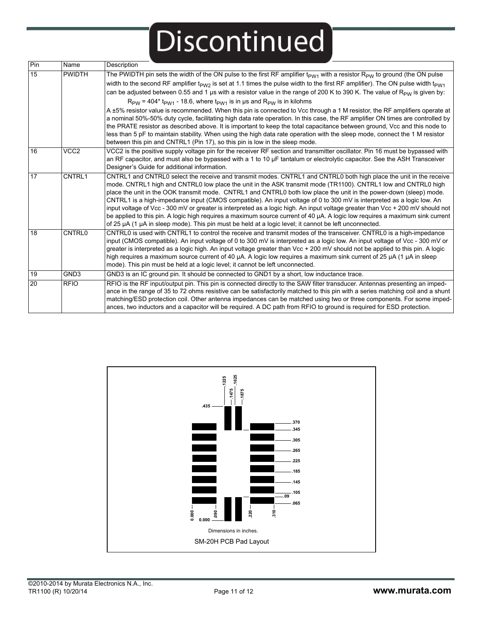| Pin | Name             | Description                                                                                                                                                                                                                                                                                                                                                                                                                                                                                                                                                                                                                                                                                                                                                                                                                                                                                                                                                                                                                                                                                                                                             |
|-----|------------------|---------------------------------------------------------------------------------------------------------------------------------------------------------------------------------------------------------------------------------------------------------------------------------------------------------------------------------------------------------------------------------------------------------------------------------------------------------------------------------------------------------------------------------------------------------------------------------------------------------------------------------------------------------------------------------------------------------------------------------------------------------------------------------------------------------------------------------------------------------------------------------------------------------------------------------------------------------------------------------------------------------------------------------------------------------------------------------------------------------------------------------------------------------|
| 15  | <b>PWIDTH</b>    | The PWIDTH pin sets the width of the ON pulse to the first RF amplifier $t_{PW1}$ with a resistor $R_{PW}$ to ground (the ON pulse<br>width to the second RF amplifier t <sub>PW2</sub> is set at 1.1 times the pulse width to the first RF amplifier). The ON pulse width t <sub>PW1</sub><br>can be adjusted between 0.55 and 1 µs with a resistor value in the range of 200 K to 390 K. The value of R <sub>PW</sub> is given by:<br>$R_{PW}$ = 404* t <sub>PW1</sub> - 18.6, where t <sub>PW1</sub> is in us and $R_{PW}$ is in kilohms<br>A ±5% resistor value is recommended. When this pin is connected to Vcc through a 1 M resistor, the RF amplifiers operate at<br>a nominal 50%-50% duty cycle, facilitating high data rate operation. In this case, the RF amplifier ON times are controlled by<br>the PRATE resistor as described above. It is important to keep the total capacitance between ground, Vcc and this node to<br>less than 5 pF to maintain stability. When using the high data rate operation with the sleep mode, connect the 1 M resistor<br>between this pin and CNTRL1 (Pin 17), so this pin is low in the sleep mode. |
| 16  | VCC <sub>2</sub> | VCC2 is the positive supply voltage pin for the receiver RF section and transmitter oscillator. Pin 16 must be bypassed with<br>an RF capacitor, and must also be bypassed with a 1 to 10 µF tantalum or electrolytic capacitor. See the ASH Transceiver<br>Designer's Guide for additional information.                                                                                                                                                                                                                                                                                                                                                                                                                                                                                                                                                                                                                                                                                                                                                                                                                                                |
| 17  | <b>CNTRL1</b>    | CNTRL1 and CNTRL0 select the receive and transmit modes. CNTRL1 and CNTRL0 both high place the unit in the receive<br>mode. CNTRL1 high and CNTRL0 low place the unit in the ASK transmit mode (TR1100). CNTRL1 low and CNTRL0 high<br>place the unit in the OOK transmit mode. CNTRL1 and CNTRL0 both low place the unit in the power-down (sleep) mode.<br>CNTRL1 is a high-impedance input (CMOS compatible). An input voltage of 0 to 300 mV is interpreted as a logic low. An<br>input voltage of Vcc - 300 mV or greater is interpreted as a logic high. An input voltage greater than Vcc + 200 mV should not<br>be applied to this pin. A logic high requires a maximum source current of 40 µA. A logic low requires a maximum sink current<br>of 25 µA (1 µA in sleep mode). This pin must be held at a logic level; it cannot be left unconnected.                                                                                                                                                                                                                                                                                           |
| 18  | <b>CNTRL0</b>    | CNTRL0 is used with CNTRL1 to control the receive and transmit modes of the transceiver. CNTRL0 is a high-impedance<br>input (CMOS compatible). An input voltage of 0 to 300 mV is interpreted as a logic low. An input voltage of Vcc - 300 mV or<br>greater is interpreted as a logic high. An input voltage greater than Vcc + 200 mV should not be applied to this pin. A logic<br>high requires a maximum source current of 40 µA. A logic low requires a maximum sink current of 25 µA (1 µA in sleep<br>mode). This pin must be held at a logic level; it cannot be left unconnected.                                                                                                                                                                                                                                                                                                                                                                                                                                                                                                                                                            |
| 19  | GND <sub>3</sub> | GND3 is an IC ground pin. It should be connected to GND1 by a short, low inductance trace.                                                                                                                                                                                                                                                                                                                                                                                                                                                                                                                                                                                                                                                                                                                                                                                                                                                                                                                                                                                                                                                              |
| 20  | <b>RFIO</b>      | RFIO is the RF input/output pin. This pin is connected directly to the SAW filter transducer. Antennas presenting an imped-<br>ance in the range of 35 to 72 ohms resistive can be satisfactorily matched to this pin with a series matching coil and a shunt<br>matching/ESD protection coil. Other antenna impedances can be matched using two or three components. For some imped-<br>ances, two inductors and a capacitor will be required. A DC path from RFIO to ground is required for ESD protection.                                                                                                                                                                                                                                                                                                                                                                                                                                                                                                                                                                                                                                           |

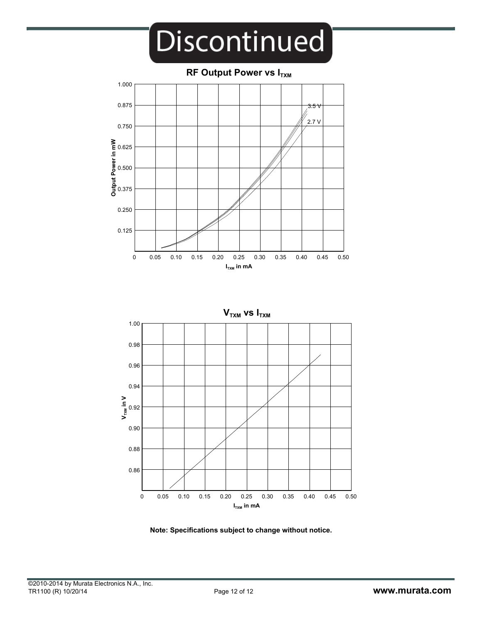



**Note: Specifications subject to change without notice.**